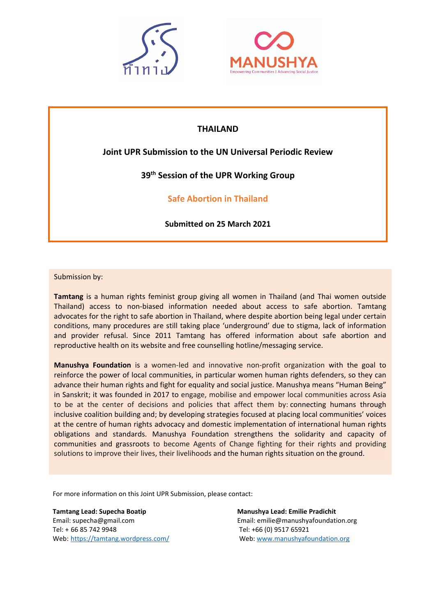



# **THAILAND**

# **Joint UPR Submission to the UN Universal Periodic Review**

# **39th Session of the UPR Working Group**

**Safe Abortion in Thailand**

**Submitted on 25 March 2021**

## Submission by:

**Tamtang** is <sup>a</sup> human rights feminist group giving all women in Thailand (and Thai women outside Thailand) access to non-biased information needed about access to safe abortion. Tamtang advocates for the right to safe abortion in Thailand, where despite abortion being legal under certain conditions, many procedures are still taking place 'underground' due to stigma, lack of information and provider refusal. Since 2011 Tamtang has offered information about safe abortion and reproductive health on its website and free counselling hotline/messaging service.

Citation: Tamtang Group and Manushya Foundation, *Joint UPR Submission: Safe Abortion in Thailand*, for the communities and grassroots to become Agents of Change fighting for their rights and providing **Manushya Foundation** is <sup>a</sup> women-led and innovative non-profit organization with the goal to reinforce the power of local communities, in particular women human rights defenders, so they can advance their human rights and fight for equality and social justice. Manushya means "Human Being" in Sanskrit; it was founded in 2017 to engage, mobilise and empower local communities across Asia to be at the center of decisions and policies that affect them by: connecting humans through inclusive coalition building and; by developing strategies focused at placing local communities' voices at the centre of human rights advocacy and domestic implementation of international human rights obligations and standards. Manushya Foundation strengthens the solidarity and capacity of solutions to improve their lives, their livelihoods and the human rights situation on the ground.

For more information on this Joint UPR Submission, please contact:

**Tamtang Lead: Supecha Boatip Manushya Lead: Emilie Pradichit** Tel: <sup>+</sup> 66 85 742 9948 Tel: +66 (0) 9517 65921 Web: <https://tamtang.wordpress.com/> Web: [www.manushyafoundation.org](http://www.manushyafoundation.org)

Email: supecha@gmail.com Email: emilie@manushyafoundation.org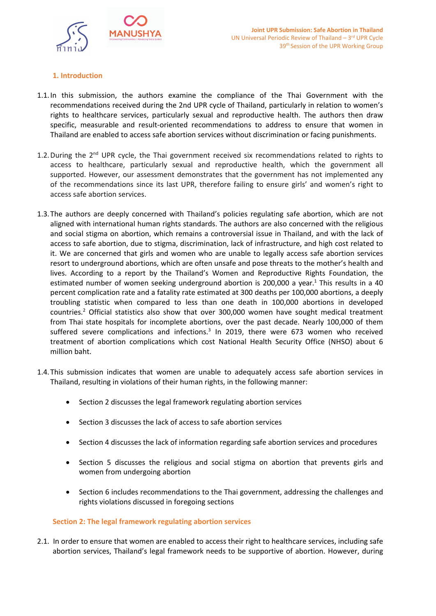

## **1. Introduction**

- 1.1.In this submission, the authors examine the compliance of the Thai Government with the recommendations received during the 2nd UPR cycle of Thailand, particularly in relation to women'<sup>s</sup> rights to healthcare services, particularly sexual and reproductive health. The authors then draw specific, measurable and result-oriented recommendations to address to ensure that women in Thailand are enabled to access safe abortion services without discrimination or facing punishments.
- 1.2. During the 2<sup>nd</sup> UPR cycle, the Thai government received six recommendations related to rights to access to healthcare, particularly sexual and reproductive health, which the government all supported. However, our assessment demonstrates that the government has not implemented any of the recommendations since its last UPR, therefore failing to ensure girls' and women'<sup>s</sup> right to access safe abortion services.
- 1.3.The authors are deeply concerned with Thailand'<sup>s</sup> policies regulating safe abortion, which are not aligned with international human rights standards. The authors are also concerned with the religious and social stigma on abortion, which remains <sup>a</sup> controversial issue in Thailand, and with the lack of access to safe abortion, due to stigma, discrimination, lack of infrastructure, and high cost related to it. We are concerned that girls and women who are unable to legally access safe abortion services resort to underground abortions, which are often unsafe and pose threats to the mother'<sup>s</sup> health and lives. According to <sup>a</sup> report by the Thailand'<sup>s</sup> Women and Reproductive Rights Foundation, the estimated number of women seeking underground abortion is 200,000 a year.<sup>1</sup> This results in a 40 percent complication rate and <sup>a</sup> fatality rate estimated at 300 deaths per 100,000 abortions, <sup>a</sup> deeply troubling statistic when compared to less than one death in 100,000 abortions in developed countries.<sup>2</sup> Official statistics also show that over 300,000 women have sought medical treatment from Thai state hospitals for incomplete abortions, over the past decade. Nearly 100,000 of them suffered severe complications and infections.<sup>3</sup> In 2019, there were 673 women who receivec treatment of abortion complications which cost National Health Security Office (NHSO) about 6 million baht.
- 1.4.This submission indicates that women are unable to adequately access safe abortion services in Thailand, resulting in violations of their human rights, in the following manner:
	- Section 2 discusses the legal framework regulating abortion services
	- Section 3 discusses the lack of access to safe abortion services
	- Section 4 discusses the lack of information regarding safe abortion services and procedures
	- $\bullet$  Section 5 discusses the religious and social stigma on abortion that prevents girls and women from undergoing abortion
	- c Section 6 includes recommendations to the Thai government, addressing the challenges and rights violations discussed in foregoing sections

## **Section 2: The legal framework regulating abortion services**

2.1. In order to ensure that women are enabled to access their right to healthcare services, including safe abortion services, Thailand'<sup>s</sup> legal framework needs to be supportive of abortion. However, during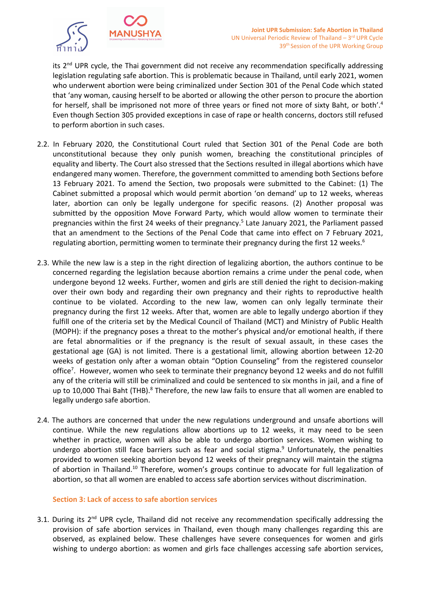

its 2<sup>nd</sup> UPR cycle, the Thai government did not receive any recommendation specifically addressing legislation regulating safe abortion. This is problematic because in Thailand, until early 2021, women who underwent abortion were being criminalized under Section 301 of the Penal Code which stated that 'any woman, causing herself to be aborted or allowing the other person to procure the abortion for herself, shall be imprisoned not more of three years or fined not more of sixty Baht, or both'. 4 Even though Section 305 provided exceptions in case of rape or health concerns, doctors still refused to perform abortion in such cases.

- 2.2. In February 2020, the Constitutional Court ruled that Section 301 of the Penal Code are both unconstitutional because they only punish women, breaching the constitutional principles of equality and liberty. The Court also stressed that the Sections resulted in illegal abortions which have endangered many women. Therefore, the government committed to amending both Sections before 13 February 2021. To amend the Section, two proposals were submitted to the Cabinet: (1) The Cabinet submitted <sup>a</sup> proposal which would permit abortion 'on demand' up to 12 weeks, whereas later, abortion can only be legally undergone for specific reasons. (2) Another proposal was submitted by the opposition Move Forward Party, which would allow women to terminate their pregnancies within the first 24 weeks of their pregnancy.<sup>5</sup> Late January 2021, the Parliament passed that an amendment to the Sections of the Penal Code that came into effect on 7 February 2021, regulating abortion, permitting women to terminate their pregnancy during the first 12 weeks.<sup>6</sup>
- 2.3. While the new law is <sup>a</sup> step in the right direction of legalizing abortion, the authors continue to be concerned regarding the legislation because abortion remains <sup>a</sup> crime under the penal code, when undergone beyond 12 weeks. Further, women and girls are still denied the right to decision-making over their own body and regarding their own pregnancy and their rights to reproductive health continue to be violated. According to the new law, women can only legally terminate their pregnancy during the first 12 weeks. After that, women are able to legally undergo abortion if they fulfill one of the criteria set by the Medical Council of Thailand (MCT) and Ministry of Public Health (MOPH): if the pregnancy poses <sup>a</sup> threat to the mother'<sup>s</sup> physical and/or emotional health, if there are fetal abnormalities or if the pregnancy is the result of sexual assault, in these cases the gestational age (GA) is not limited. There is <sup>a</sup> gestational limit, allowing abortion between 12-20 weeks of gestation only after <sup>a</sup> woman obtain "Option Counseling" from the registered counselor office<sup>7</sup> . However, women who seek to terminate their pregnancy beyond 12 weeks and do not fulfill any of the criteria will still be criminalized and could be sentenced to six months in jail, and <sup>a</sup> fine of up to 10,000 Thai Baht (THB).<sup>8</sup> Therefore, the new law fails to ensure that all women are enabled to legally undergo safe abortion.
- 2.4. The authors are concerned that under the new regulations underground and unsafe abortions will continue. While the new regulations allow abortions up to 12 weeks, it may need to be seen whether in practice, women will also be able to undergo abortion services. Women wishing to undergo abortion still face barriers such as fear and social stigma.<sup>9</sup> Unfortunately, the penalties provided to women seeking abortion beyond 12 weeks of their pregnancy will maintain the stigma of abortion in Thailand.<sup>10</sup> Therefore, women's groups continue to advocate for full legalization of abortion, so that all women are enabled to access safe abortion services without discrimination.

## **Section 3: Lack of access to safe abortion services**

3.1. During its 2<sup>nd</sup> UPR cycle, Thailand did not receive any recommendation specifically addressing the provision of safe abortion services in Thailand, even though many challenges regarding this are observed, as explained below. These challenges have severe consequences for women and girls wishing to undergo abortion: as women and girls face challenges accessing safe abortion services,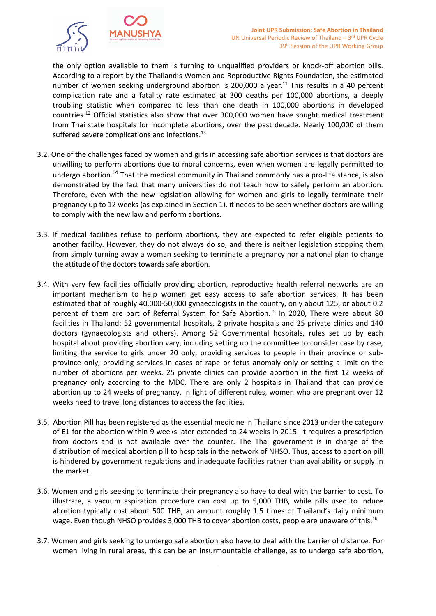

the only option available to them is turning to unqualified providers or knock-off abortion pills. According to <sup>a</sup> report by the Thailand'<sup>s</sup> Women and Reproductive Rights Foundation, the estimated number of women seeking underground abortion is 200,000 a year.<sup>11</sup> This results in a 40 percent complication rate and <sup>a</sup> fatality rate estimated at 300 deaths per 100,000 abortions, <sup>a</sup> deeply troubling statistic when compared to less than one death in 100,000 abortions in developed countries.<sup>12</sup> Official statistics also show that over 300,000 women have sought medical treatment from Thai state hospitals for incomplete abortions, over the past decade. Nearly 100,000 of them suffered severe complications and infections.<sup>13</sup>

- 3.2. One of the challenges faced by women and girls in accessing safe abortion services is that doctors are unwilling to perform abortions due to moral concerns, even when women are legally permitted to undergo abortion.<sup>14</sup> That the medical community in Thailand commonly has a pro-life stance, is also demonstrated by the fact that many universities do not teach how to safely perform an abortion. Therefore, even with the new legislation allowing for women and girls to legally terminate their pregnancy up to 12 weeks (as explained in Section 1), it needs to be seen whether doctors are willing to comply with the new law and perform abortions.
- 3.3. If medical facilities refuse to perform abortions, they are expected to refer eligible patients to another facility. However, they do not always do so, and there is neither legislation stopping them from simply turning away <sup>a</sup> woman seeking to terminate <sup>a</sup> pregnancy nor <sup>a</sup> national plan to change the attitude of the doctors towards safe abortion.
- 3.4. With very few facilities officially providing abortion, reproductive health referral networks are an important mechanism to help women get easy access to safe abortion services. It has been estimated that of roughly 40,000-50,000 gynaecologists in the country, only about 125, or about 0.2 percent of them are part of Referral System for Safe Abortion. 15 In 2020, There were about 80 facilities in Thailand: 52 governmental hospitals, 2 private hospitals and 25 private clinics and 140 doctors (gynaecologists and others). Among 52 Governmental hospitals, rules set up by each hospital about providing abortion vary, including setting up the committee to consider case by case, limiting the service to girls under 20 only, providing services to people in their province or subprovince only, providing services in cases of rape or fetus anomaly only or setting <sup>a</sup> limit on the number of abortions per weeks. 25 private clinics can provide abortion in the first 12 weeks of pregnancy only according to the MDC. There are only 2 hospitals in Thailand that can provide abortion up to 24 weeks of pregnancy. In light of different rules, women who are pregnant over 12 weeks need to travel long distances to access the facilities.
- 3.5. Abortion Pill has been registered as the essential medicine in Thailand since 2013 under the category of E1 for the abortion within 9 weeks later extended to 24 weeks in 2015. It requires <sup>a</sup> prescription from doctors and is not available over the counter. The Thai government is in charge of the distribution of medical abortion pill to hospitals in the network of NHSO. Thus, access to abortion pill is hindered by government regulations and inadequate facilities rather than availability or supply in the market.
- 3.6. Women and girls seeking to terminate their pregnancy also have to deal with the barrier to cost. To illustrate, <sup>a</sup> vacuum aspiration procedure can cost up to 5,000 THB, while pills used to induce abortion typically cost about 500 THB, an amount roughly 1.5 times of Thailand'<sup>s</sup> daily minimum wage. Even though NHSO provides 3,000 THB to cover abortion costs, people are unaware of this.<sup>16</sup>
- 3.7. Women and girls seeking to undergo safe abortion also have to deal with the barrier of distance. For women living in rural areas, this can be an insurmountable challenge, as to undergo safe abortion,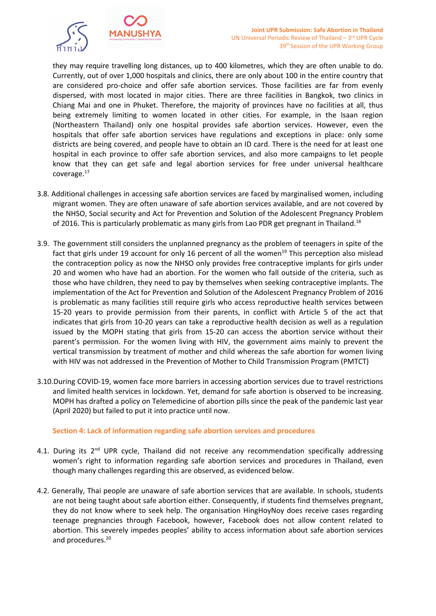

they may require travelling long distances, up to 400 kilometres, which they are often unable to do. Currently, out of over 1,000 hospitals and clinics, there are only about 100 in the entire country that are considered pro-choice and offer safe abortion services. Those facilities are far from evenly dispersed, with most located in major cities. There are three facilities in Bangkok, two clinics in Chiang Mai and one in Phuket. Therefore, the majority of provinces have no facilities at all, thus being extremely limiting to women located in other cities. For example, in the Isaan region (Northeastern Thailand) only one hospital provides safe abortion services. However, even the hospitals that offer safe abortion services have regulations and exceptions in place: only some districts are being covered, and people have to obtain an ID card. There is the need for at least one hospital in each province to offer safe abortion services, and also more campaigns to let people know that they can get safe and legal abortion services for free under universal healthcare coverage.<sup>17</sup>

- 3.8. Additional challenges in accessing safe abortion services are faced by marginalised women, including migrant women. They are often unaware of safe abortion services available, and are not covered by the NHSO, Social security and Act for Prevention and Solution of the Adolescent Pregnancy Problem of 2016. This is particularly problematic as many girls from Lao PDR get pregnant in Thailand. $^{18}$
- 3.9. The government still considers the unplanned pregnancy as the problem of teenagers in spite of the fact that girls under 19 account for only 16 percent of all the women<sup>19</sup> This perception also misleac the contraception policy as now the NHSO only provides free contraceptive implants for girls under 20 and women who have had an abortion. For the women who fall outside of the criteria, such as those who have children, they need to pay by themselves when seeking contraceptive implants. The implementation of the Act for Prevention and Solution of the Adolescent Pregnancy Problem of 2016 is problematic as many facilities still require girls who access reproductive health services between 15-20 years to provide permission from their parents, in conflict with Article 5 of the act that indicates that girls from 10-20 years can take <sup>a</sup> reproductive health decision as well as <sup>a</sup> regulation issued by the MOPH stating that girls from 15-20 can access the abortion service without their parent'<sup>s</sup> permission. For the women living with HIV, the government aims mainly to prevent the vertical transmission by treatment of mother and child whereas the safe abortion for women living with HIV was not addressed in the Prevention of Mother to Child Transmission Program (PMTCT)
- 3.10.During COVID-19, women face more barriers in accessing abortion services due to travel restrictions and limited health services in lockdown. Yet, demand for safe abortion is observed to be increasing. MOPH has drafted <sup>a</sup> policy on Telemedicine of abortion pills since the peak of the pandemic last year (April 2020) but failed to put it into practice until now.

## **Section 4: Lack of information regarding safe abortion services and procedures**

- 4.1. During its 2<sup>nd</sup> UPR cycle, Thailand did not receive any recommendation specifically addressing women'<sup>s</sup> right to information regarding safe abortion services and procedures in Thailand, even though many challenges regarding this are observed, as evidenced below.
- 4.2. Generally, Thai people are unaware of safe abortion services that are available. In schools, students are not being taught about safe abortion either. Consequently, if students find themselves pregnant, they do not know where to seek help. The organisation HingHoyNoy does receive cases regarding teenage pregnancies through Facebook, however, Facebook does not allow content related to abortion. This severely impedes peoples' ability to access information about safe abortion services and procedures. 20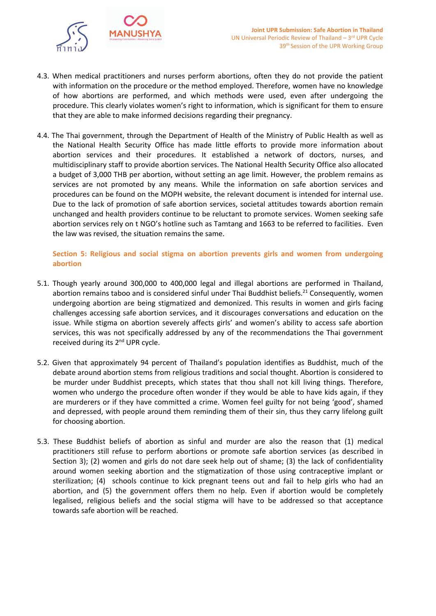

- 4.3. When medical practitioners and nurses perform abortions, often they do not provide the patient with information on the procedure or the method employed. Therefore, women have no knowledge of how abortions are performed, and which methods were used, even after undergoing the procedure. This clearly violates women'<sup>s</sup> right to information, which is significant for them to ensure that they are able to make informed decisions regarding their pregnancy.
- 4.4. The Thai government, through the Department of Health of the Ministry of Public Health as well as the National Health Security Office has made little efforts to provide more information about abortion services and their procedures. It established <sup>a</sup> network of doctors, nurses, and multidisciplinary staff to provide abortion services. The National Health Security Office also allocated <sup>a</sup> budget of 3,000 THB per abortion, without setting an age limit. However, the problem remains as services are not promoted by any means. While the information on safe abortion services and procedures can be found on the MOPH website, the relevant document is intended for internal use. Due to the lack of promotion of safe abortion services, societal attitudes towards abortion remain unchanged and health providers continue to be reluctant to promote services. Women seeking safe abortion services rely on <sup>t</sup> NGO'<sup>s</sup> hotline such as Tamtang and 1663 to be referred to facilities. Even the law was revised, the situation remains the same.

# **Section 5: Religious and social stigma on abortion prevents girls and women from undergoing abortion**

- 5.1. Though yearly around 300,000 to 400,000 legal and illegal abortions are performed in Thailand, abortion remains taboo and is considered sinful under Thai Buddhist beliefs.<sup>21</sup> Consequently, women undergoing abortion are being stigmatized and demonized. This results in women and girls facing challenges accessing safe abortion services, and it discourages conversations and education on the issue. While stigma on abortion severely affects girls' and women'<sup>s</sup> ability to access safe abortion services, this was not specifically addressed by any of the recommendations the Thai government received during its 2<sup>nd</sup> UPR cycle.
- 5.2. Given that approximately 94 percent of Thailand'<sup>s</sup> population identifies as Buddhist, much of the debate around abortion stems from religious traditions and social thought. Abortion is considered to be murder under Buddhist precepts, which states that thou shall not kill living things. Therefore, women who undergo the procedure often wonder if they would be able to have kids again, if they are murderers or if they have committed <sup>a</sup> crime. Women feel guilty for not being 'good', shamed and depressed, with people around them reminding them of their sin, thus they carry lifelong guilt for choosing abortion.
- 5.3. These Buddhist beliefs of abortion as sinful and murder are also the reason that (1) medical practitioners still refuse to perform abortions or promote safe abortion services (as described in Section 3); (2) women and girls do not dare seek help out of shame; (3) the lack of confidentiality around women seeking abortion and the stigmatization of those using contraceptive implant or sterilization; (4) schools continue to kick pregnant teens out and fail to help girls who had an abortion, and (5) the government offers them no help. Even if abortion would be completely legalised, religious beliefs and the social stigma will have to be addressed so that acceptance towards safe abortion will be reached.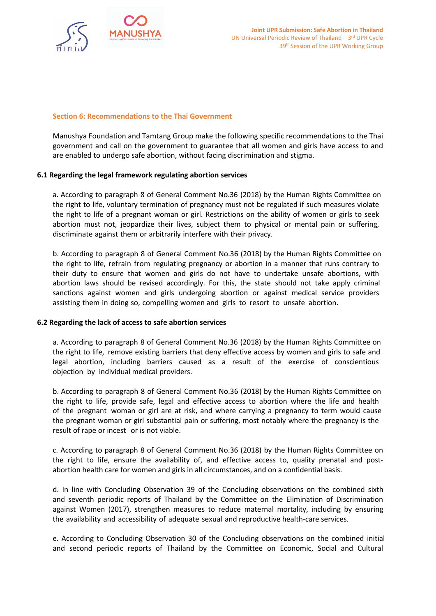

#### **Section 6: Recommendations to the Thai Government**

Manushya Foundation and Tamtang Group make the following specific recommendations to the Thai government and call on the government to guarantee that all women and girls have access to and are enabled to undergo safe abortion, without facing discrimination and stigma.

#### **6.1 Regarding the legal framework regulating abortion services**

a. According to paragraph 8 of General Comment No.36 (2018) by the Human Rights Committee on the right to life, voluntary termination of pregnancy must not be regulated if such measures violate the right to life of <sup>a</sup> pregnant woman or girl. Restrictions on the ability of women or girls to seek abortion must not, jeopardize their lives, subject them to physical or mental pain or suffering, discriminate against them or arbitrarily interfere with their privacy.

b. According to paragraph 8 of General Comment No.36 (2018) by the Human Rights Committee on the right to life, refrain from regulating pregnancy or abortion in <sup>a</sup> manner that runs contrary to their duty to ensure that women and girls do not have to undertake unsafe abortions, with abortion laws should be revised accordingly. For this, the state should not take apply criminal sanctions against women and girls undergoing abortion or against medical service providers assisting them in doing so, compelling women and girls to resort to unsafe abortion.

#### **6.2 Regarding the lack of access to safe abortion services**

a. According to paragraph 8 of General Comment No.36 (2018) by the Human Rights Committee on the right to life, remove existing barriers that deny effective access by women and girls to safe and legal abortion, including barriers caused as <sup>a</sup> result of the exercise of conscientious objection by individual medical providers.

b. According to paragraph 8 of General Comment No.36 (2018) by the Human Rights Committee on the right to life, provide safe, legal and effective access to abortion where the life and health of the pregnant woman or girl are at risk, and where carrying <sup>a</sup> pregnancy to term would cause the pregnant woman or girl substantial pain or suffering, most notably where the pregnancy is the result of rape or incest or is not viable.

c. According to paragraph 8 of General Comment No.36 (2018) by the Human Rights Committee on the right to life, ensure the availability of, and effective access to, quality prenatal and postabortion health care for women and girls in all circumstances, and on <sup>a</sup> confidential basis.

d. In line with Concluding Observation 39 of the Concluding observations on the combined sixth and seventh periodic reports of Thailand by the Committee on the Elimination of Discrimination against Women (2017), strengthen measures to reduce maternal mortality, including by ensuring the availability and accessibility of adequate sexual and reproductive health-care services.

e. According to Concluding Observation 30 of the Concluding observations on the combined initial and second periodic reports of Thailand by the Committee on Economic, Social and Cultural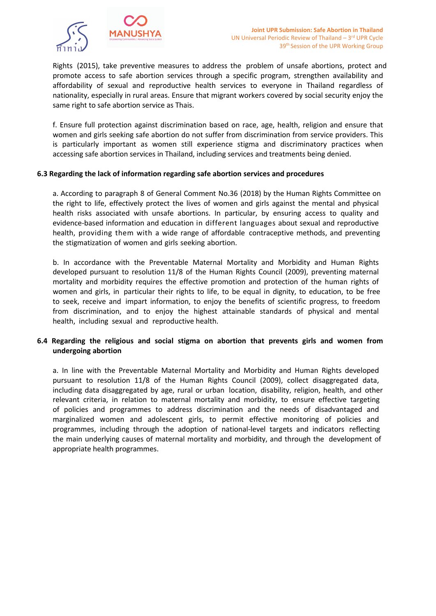

Rights (2015), take preventive measures to address the problem of unsafe abortions, protect and promote access to safe abortion services through <sup>a</sup> specific program, strengthen availability and affordability of sexual and reproductive health services to everyone in Thailand regardless of nationality, especially in rural areas. Ensure that migrant workers covered by social security enjoy the same right to safe abortion service as Thais.

f. Ensure full protection against discrimination based on race, age, health, religion and ensure that women and girls seeking safe abortion do not suffer from discrimination from service providers. This is particularly important as women still experience stigma and discriminatory practices when accessing safe abortion services in Thailand, including services and treatments being denied.

#### **6.3 Regarding the lack of information regarding safe abortion services and procedures**

a. According to paragraph 8 of General Comment No.36 (2018) by the Human Rights Committee on the right to life, effectively protect the lives of women and girls against the mental and physical health risks associated with unsafe abortions. In particular, by ensuring access to quality and evidence-based information and education in different languages about sexual and reproductive health, providing them with <sup>a</sup> wide range of affordable contraceptive methods, and preventing the stigmatization of women and girls seeking abortion.

b. In accordance with the Preventable Maternal Mortality and Morbidity and Human Rights developed pursuant to resolution 11/8 of the Human Rights Council (2009), preventing maternal mortality and morbidity requires the effective promotion and protection of the human rights of women and girls, in particular their rights to life, to be equal in dignity, to education, to be free to seek, receive and impart information, to enjoy the benefits of scientific progress, to freedom from discrimination, and to enjoy the highest attainable standards of physical and mental health, including sexual and reproductive health.

## **6.4 Regarding the religious and social stigma on abortion that prevents girls and women from undergoing abortion**

a. In line with the Preventable Maternal Mortality and Morbidity and Human Rights developed pursuant to resolution 11/8 of the Human Rights Council (2009), collect disaggregated data, including data disaggregated by age, rural or urban location, disability, religion, health, and other relevant criteria, in relation to maternal mortality and morbidity, to ensure effective targeting of policies and programmes to address discrimination and the needs of disadvantaged and marginalized women and adolescent girls, to permit effective monitoring of policies and programmes, including through the adoption of national-level targets and indicators reflecting the main underlying causes of maternal mortality and morbidity, and through the development of appropriate health programmes.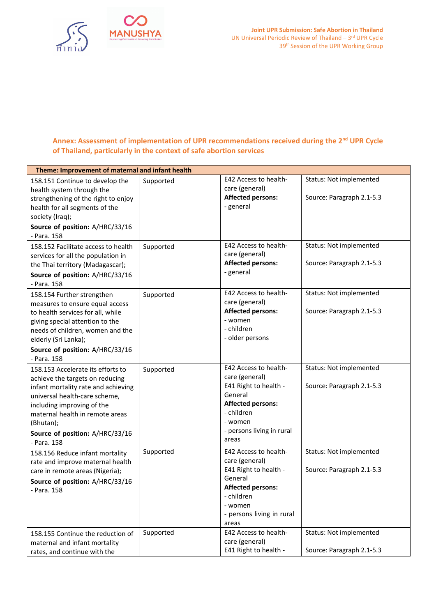

# **Annex: Assessment of implementation of UPR recommendations received during the <sup>2</sup>nd UPR Cycle of Thailand, particularly in the context of safe abortion services**

| Theme: Improvement of maternal and infant health                                                                                                                                                                                                                             |           |                                                                                                                                                                               |                                                      |  |
|------------------------------------------------------------------------------------------------------------------------------------------------------------------------------------------------------------------------------------------------------------------------------|-----------|-------------------------------------------------------------------------------------------------------------------------------------------------------------------------------|------------------------------------------------------|--|
| 158.151 Continue to develop the<br>health system through the<br>strengthening of the right to enjoy<br>health for all segments of the<br>society (Iraq);                                                                                                                     | Supported | E42 Access to health-<br>care (general)<br><b>Affected persons:</b><br>- general                                                                                              | Status: Not implemented<br>Source: Paragraph 2.1-5.3 |  |
| Source of position: A/HRC/33/16<br>- Para. 158                                                                                                                                                                                                                               |           |                                                                                                                                                                               |                                                      |  |
| 158.152 Facilitate access to health<br>services for all the population in<br>the Thai territory (Madagascar);<br>Source of position: A/HRC/33/16<br>- Para. 158                                                                                                              | Supported | E42 Access to health-<br>care (general)<br><b>Affected persons:</b><br>- general                                                                                              | Status: Not implemented<br>Source: Paragraph 2.1-5.3 |  |
| 158.154 Further strengthen<br>measures to ensure equal access<br>to health services for all, while<br>giving special attention to the<br>needs of children, women and the<br>elderly (Sri Lanka);<br>Source of position: A/HRC/33/16<br>- Para. 158                          | Supported | <b>E42 Access to health-</b><br>care (general)<br><b>Affected persons:</b><br>- women<br>- children<br>- older persons                                                        | Status: Not implemented<br>Source: Paragraph 2.1-5.3 |  |
| 158.153 Accelerate its efforts to<br>achieve the targets on reducing<br>infant mortality rate and achieving<br>universal health-care scheme,<br>including improving of the<br>maternal health in remote areas<br>(Bhutan);<br>Source of position: A/HRC/33/16<br>- Para. 158 | Supported | <b>E42 Access to health-</b><br>care (general)<br>E41 Right to health -<br>General<br><b>Affected persons:</b><br>- children<br>- women<br>- persons living in rural<br>areas | Status: Not implemented<br>Source: Paragraph 2.1-5.3 |  |
| 158.156 Reduce infant mortality<br>rate and improve maternal health<br>care in remote areas (Nigeria);<br>Source of position: A/HRC/33/16<br>- Para. 158                                                                                                                     | Supported | <b>E42 Access to health-</b><br>care (general)<br>E41 Right to health -<br>General<br><b>Affected persons:</b><br>- children<br>- women<br>- persons living in rural<br>areas | Status: Not implemented<br>Source: Paragraph 2.1-5.3 |  |
| 158.155 Continue the reduction of<br>maternal and infant mortality<br>rates, and continue with the                                                                                                                                                                           | Supported | <b>E42 Access to health-</b><br>care (general)<br>E41 Right to health -                                                                                                       | Status: Not implemented<br>Source: Paragraph 2.1-5.3 |  |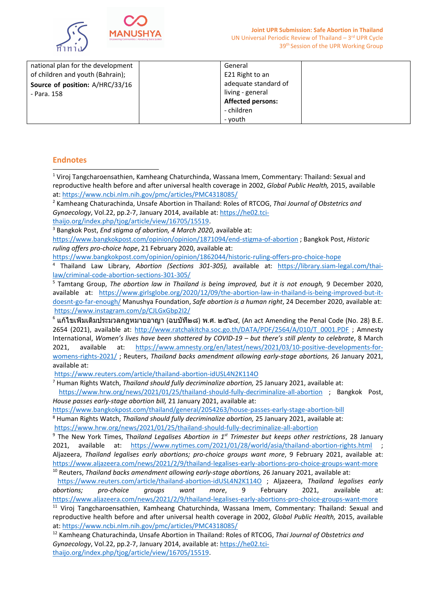

| national plan for the development | General                  |  |
|-----------------------------------|--------------------------|--|
| of children and youth (Bahrain);  | E21 Right to an          |  |
| Source of position: A/HRC/33/16   | adequate standard of     |  |
| - Para. 158                       | living - general         |  |
|                                   | <b>Affected persons:</b> |  |
|                                   | - children               |  |
|                                   | - vouth                  |  |

## **Endnotes**

1 Viroj Tangcharoensathien, Kamheang Chaturchinda, Wassana Imem, Commentary: Thailand: Sexual and reproductive health before and after universal health coverage in 2002, *Global Public Health,* 2015, available at: <https://www.ncbi.nlm.nih.gov/pmc/articles/PMC4318085/> 2 Kamheang Chaturachinda, Unsafe Abortion in Thailand: Roles of RTCOG, *Thai Journal of Obstetrics and Gynaecology*, Vol.22, pp.2-7, January 2014, available at: [https://he02.tci](https://he02.tci-thaijo.org/index.php/tjog/article/view/16705/15519)[thaijo.org/index.php/tjog/article/view/16705/15519](https://he02.tci-thaijo.org/index.php/tjog/article/view/16705/15519). 3 Bangkok Post, *End stigma of abortion, 4 March 2020*, available at: <https://www.bangkokpost.com/opinion/opinion/1871094/end-stigma-of-abortion> ; Bangkok Post, *Historic ruling offers pro-choice hope*, 21 February 2020, available at:

<https://www.bangkokpost.com/opinion/opinion/1862044/historic-ruling-offers-pro-choice-hope>

4 Thailand Law Library, *Abortion (Sections 301-305),* available at: [https://library.siam-legal.com/thai](https://library.siam-legal.com/thai-law/criminal-code-abortion-sections-301-305/)[law/criminal-code-abortion-sections-301-305/](https://library.siam-legal.com/thai-law/criminal-code-abortion-sections-301-305/)

5 Tamtang Group, *The abortion law in Thailand is being improved, but it is not enough,* 9 December 2020, available at: [https://www.girlsglobe.org/2020/12/09/the-abortion-law-in-thailand-is-being-improved-but-it](https://www.girlsglobe.org/2020/12/09/the-abortion-law-in-thailand-is-being-improved-but-it-doesnt-go-far-enough/)[doesnt-go-far-enough/](https://www.girlsglobe.org/2020/12/09/the-abortion-law-in-thailand-is-being-improved-but-it-doesnt-go-far-enough/) Manushya Foundation, *Safe abortion is <sup>a</sup> human right*, 24 December 2020, available at: <https://www.instagram.com/p/CJLGxGbp2I2/>

6 แก้ไขเพ่ิมเติมประมวลกฎหมายอาญา (ฉบบัท่ี๒๘) <sup>พ</sup>.ศ. <sup>๒๕๖๔</sup>, (An act Amending the Penal Code (No. 28) B.E. 2654 (2021), available at: [http://www.ratchakitcha.soc.go.th/DATA/PDF/2564/A/010/T\\_0001.PDF](http://www.ratchakitcha.soc.go.th/DATA/PDF/2564/A/010/T_0001.PDF) ; Amnesty International, Women's lives have been shattered by COVID-19 - but there's still plenty to celebrate, 8 March 2021, available at: [https://www.amnesty.org/en/latest/news/2021/03/10-positive-developments-for](https://www.amnesty.org/en/latest/news/2021/03/10-positive-developments-for-womens-rights-2021/)[womens-rights-2021/](https://www.amnesty.org/en/latest/news/2021/03/10-positive-developments-for-womens-rights-2021/) ; Reuters, *Thailand backs amendment allowing early-stage abortions,* 26 January 2021, available at:

<https://www.reuters.com/article/thailand-abortion-idUSL4N2K114O>

7 Human Rights Watch, *Thailand should fully decriminalize abortion,* 25 January 2021, available at:

<https://www.hrw.org/news/2021/01/25/thailand-should-fully-decriminalize-all-abortion> ; Bangkok Post, *House passes early-stage abortion bill,* 21 January 2021, available at:

<https://www.bangkokpost.com/thailand/general/2054263/house-passes-early-stage-abortion-bill>

8 Human Rights Watch, *Thailand should fully decriminalize abortion,* 25 January 2021, available at:

<https://www.hrw.org/news/2021/01/25/thailand-should-fully-decriminalize-all-abortion>

9 The New York Times, Th*ailand Legalises Abortion in 1st Trimester but keeps other restrictions*, 28 January 2021, available at: <https://www.nytimes.com/2021/01/28/world/asia/thailand-abortion-rights.html> Aljazeera, *Thailand legalises early abortions; pro-choice groups want more*, 9 February 2021, available at: <https://www.aljazeera.com/news/2021/2/9/thailand-legalises-early-abortions-pro-choice-groups-want-more> 10 Reuters, *Thailand backs amendment allowing early-stage abortions,* 26 January 2021, available at:

<https://www.reuters.com/article/thailand-abortion-idUSL4N2K114O> ; Aljazeera, *Thailand legalises early abortions; pro-choice groups want more*, 9 February 2021, available at: <https://www.aljazeera.com/news/2021/2/9/thailand-legalises-early-abortions-pro-choice-groups-want-more>

<sup>11</sup> Viroj Tangcharoensathien, Kamheang Chaturchinda, Wassana Imem, Commentary: Thailand: Sexual and reproductive health before and after universal health coverage in 2002, *Global Public Health,* 2015, available at: <https://www.ncbi.nlm.nih.gov/pmc/articles/PMC4318085/>

12 Kamheang Chaturachinda, Unsafe Abortion in Thailand: Roles of RTCOG, *Thai Journal of Obstetrics and Gynaecology*, Vol.22, pp.2-7, January 2014, available at: [https://he02.tci](https://he02.tci-thaijo.org/index.php/tjog/article/view/16705/15519)[thaijo.org/index.php/tjog/article/view/16705/15519](https://he02.tci-thaijo.org/index.php/tjog/article/view/16705/15519).